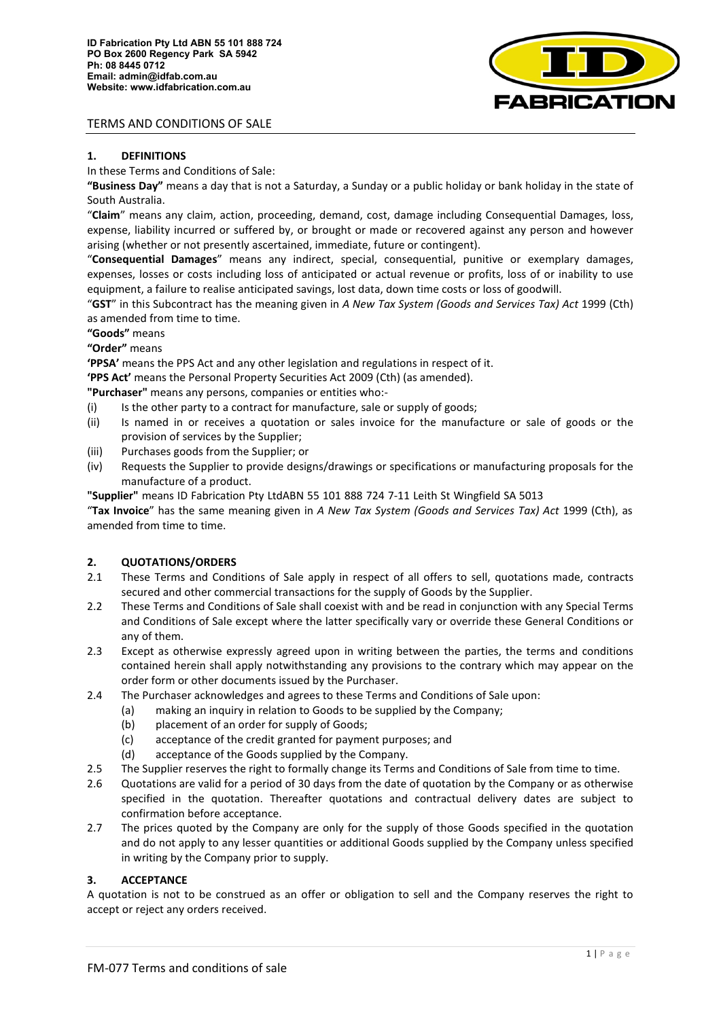

## **1. DEFINITIONS**

In these Terms and Conditions of Sale:

**"Business Day"** means a day that is not a Saturday, a Sunday or a public holiday or bank holiday in the state of South Australia.

"**Claim**" means any claim, action, proceeding, demand, cost, damage including Consequential Damages, loss, expense, liability incurred or suffered by, or brought or made or recovered against any person and however arising (whether or not presently ascertained, immediate, future or contingent).

"**Consequential Damages**" means any indirect, special, consequential, punitive or exemplary damages, expenses, losses or costs including loss of anticipated or actual revenue or profits, loss of or inability to use equipment, a failure to realise anticipated savings, lost data, down time costs or loss of goodwill.

"**GST**" in this Subcontract has the meaning given in *A New Tax System (Goods and Services Tax) Act* 1999 (Cth) as amended from time to time.

**"Goods"** means

**"Order"** means

**'PPSA'** means the PPS Act and any other legislation and regulations in respect of it.

**'PPS Act'** means the Personal Property Securities Act 2009 (Cth) (as amended).

**"Purchaser"** means any persons, companies or entities who:-

- (i) Is the other party to a contract for manufacture, sale or supply of goods;
- (ii) Is named in or receives a quotation or sales invoice for the manufacture or sale of goods or the provision of services by the Supplier;
- (iii) Purchases goods from the Supplier; or
- (iv) Requests the Supplier to provide designs/drawings or specifications or manufacturing proposals for the manufacture of a product.

**"Supplier"** means ID Fabrication Pty LtdABN 55 101 888 724 7-11 Leith St Wingfield SA 5013

"**Tax Invoice**" has the same meaning given in *A New Tax System (Goods and Services Tax) Act* 1999 (Cth), as amended from time to time.

# **2. QUOTATIONS/ORDERS**

- 2.1 These Terms and Conditions of Sale apply in respect of all offers to sell, quotations made, contracts secured and other commercial transactions for the supply of Goods by the Supplier.
- 2.2 These Terms and Conditions of Sale shall coexist with and be read in conjunction with any Special Terms and Conditions of Sale except where the latter specifically vary or override these General Conditions or any of them.
- 2.3 Except as otherwise expressly agreed upon in writing between the parties, the terms and conditions contained herein shall apply notwithstanding any provisions to the contrary which may appear on the order form or other documents issued by the Purchaser.
- 2.4 The Purchaser acknowledges and agrees to these Terms and Conditions of Sale upon:
	- (a) making an inquiry in relation to Goods to be supplied by the Company;
	- (b) placement of an order for supply of Goods;
	- (c) acceptance of the credit granted for payment purposes; and
	- (d) acceptance of the Goods supplied by the Company.
- 2.5 The Supplier reserves the right to formally change its Terms and Conditions of Sale from time to time.
- 2.6 Quotations are valid for a period of 30 days from the date of quotation by the Company or as otherwise specified in the quotation. Thereafter quotations and contractual delivery dates are subject to confirmation before acceptance.
- 2.7 The prices quoted by the Company are only for the supply of those Goods specified in the quotation and do not apply to any lesser quantities or additional Goods supplied by the Company unless specified in writing by the Company prior to supply.

## **3. ACCEPTANCE**

A quotation is not to be construed as an offer or obligation to sell and the Company reserves the right to accept or reject any orders received.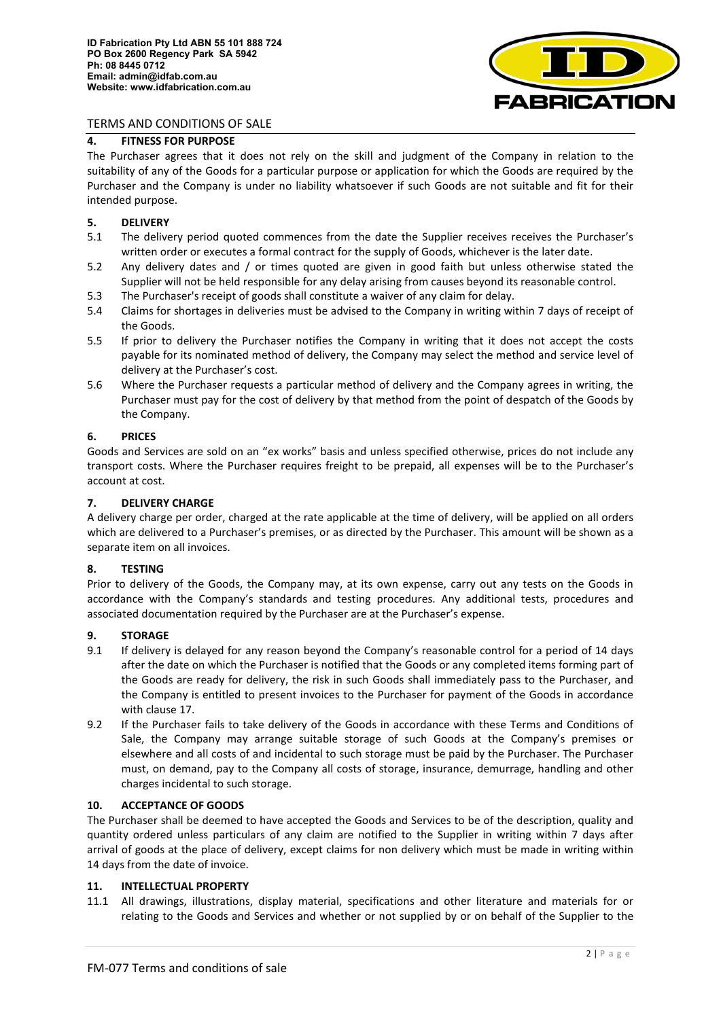

# **4. FITNESS FOR PURPOSE**

The Purchaser agrees that it does not rely on the skill and judgment of the Company in relation to the suitability of any of the Goods for a particular purpose or application for which the Goods are required by the Purchaser and the Company is under no liability whatsoever if such Goods are not suitable and fit for their intended purpose.

### **5. DELIVERY**

- 5.1 The delivery period quoted commences from the date the Supplier receives receives the Purchaser's written order or executes a formal contract for the supply of Goods, whichever is the later date.
- 5.2 Any delivery dates and / or times quoted are given in good faith but unless otherwise stated the Supplier will not be held responsible for any delay arising from causes beyond its reasonable control.
- 5.3 The Purchaser's receipt of goods shall constitute a waiver of any claim for delay.
- 5.4 Claims for shortages in deliveries must be advised to the Company in writing within 7 days of receipt of the Goods.
- 5.5 If prior to delivery the Purchaser notifies the Company in writing that it does not accept the costs payable for its nominated method of delivery, the Company may select the method and service level of delivery at the Purchaser's cost.
- 5.6 Where the Purchaser requests a particular method of delivery and the Company agrees in writing, the Purchaser must pay for the cost of delivery by that method from the point of despatch of the Goods by the Company.

### **6. PRICES**

Goods and Services are sold on an "ex works" basis and unless specified otherwise, prices do not include any transport costs. Where the Purchaser requires freight to be prepaid, all expenses will be to the Purchaser's account at cost.

### **7. DELIVERY CHARGE**

A delivery charge per order, charged at the rate applicable at the time of delivery, will be applied on all orders which are delivered to a Purchaser's premises, or as directed by the Purchaser. This amount will be shown as a separate item on all invoices.

#### **8. TESTING**

Prior to delivery of the Goods, the Company may, at its own expense, carry out any tests on the Goods in accordance with the Company's standards and testing procedures. Any additional tests, procedures and associated documentation required by the Purchaser are at the Purchaser's expense.

#### **9. STORAGE**

- 9.1 If delivery is delayed for any reason beyond the Company's reasonable control for a period of 14 days after the date on which the Purchaser is notified that the Goods or any completed items forming part of the Goods are ready for delivery, the risk in such Goods shall immediately pass to the Purchaser, and the Company is entitled to present invoices to the Purchaser for payment of the Goods in accordance with clause [17.](#page-3-0)
- 9.2 If the Purchaser fails to take delivery of the Goods in accordance with these Terms and Conditions of Sale, the Company may arrange suitable storage of such Goods at the Company's premises or elsewhere and all costs of and incidental to such storage must be paid by the Purchaser. The Purchaser must, on demand, pay to the Company all costs of storage, insurance, demurrage, handling and other charges incidental to such storage.

## **10. ACCEPTANCE OF GOODS**

The Purchaser shall be deemed to have accepted the Goods and Services to be of the description, quality and quantity ordered unless particulars of any claim are notified to the Supplier in writing within 7 days after arrival of goods at the place of delivery, except claims for non delivery which must be made in writing within 14 days from the date of invoice.

## **11. INTELLECTUAL PROPERTY**

11.1 All drawings, illustrations, display material, specifications and other literature and materials for or relating to the Goods and Services and whether or not supplied by or on behalf of the Supplier to the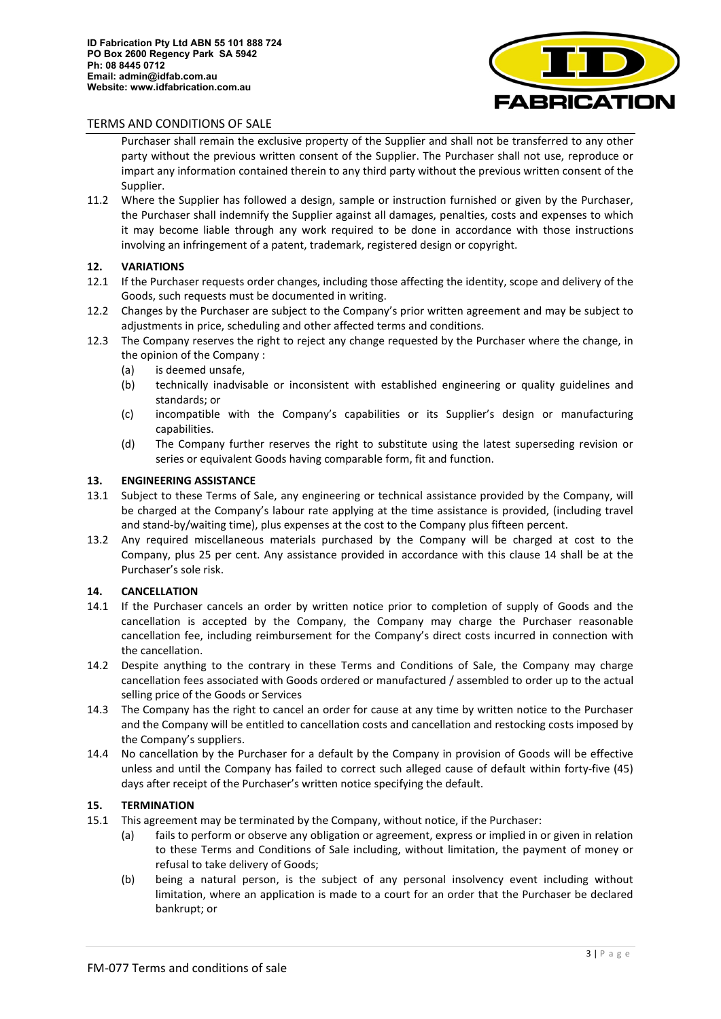

Purchaser shall remain the exclusive property of the Supplier and shall not be transferred to any other party without the previous written consent of the Supplier. The Purchaser shall not use, reproduce or impart any information contained therein to any third party without the previous written consent of the Supplier.

11.2 Where the Supplier has followed a design, sample or instruction furnished or given by the Purchaser, the Purchaser shall indemnify the Supplier against all damages, penalties, costs and expenses to which it may become liable through any work required to be done in accordance with those instructions involving an infringement of a patent, trademark, registered design or copyright.

# **12. VARIATIONS**

- 12.1 If the Purchaser requests order changes, including those affecting the identity, scope and delivery of the Goods, such requests must be documented in writing.
- 12.2 Changes by the Purchaser are subject to the Company's prior written agreement and may be subject to adjustments in price, scheduling and other affected terms and conditions.
- 12.3 The Company reserves the right to reject any change requested by the Purchaser where the change, in the opinion of the Company :
	- (a) is deemed unsafe,
	- (b) technically inadvisable or inconsistent with established engineering or quality guidelines and standards; or
	- (c) incompatible with the Company's capabilities or its Supplier's design or manufacturing capabilities.
	- (d) The Company further reserves the right to substitute using the latest superseding revision or series or equivalent Goods having comparable form, fit and function.

## <span id="page-2-0"></span>**13. ENGINEERING ASSISTANCE**

- 13.1 Subject to these Terms of Sale, any engineering or technical assistance provided by the Company, will be charged at the Company's labour rate applying at the time assistance is provided, (including travel and stand-by/waiting time), plus expenses at the cost to the Company plus fifteen percent.
- 13.2 Any required miscellaneous materials purchased by the Company will be charged at cost to the Company, plus 25 per cent. Any assistance provided in accordance with this clause [14](#page-2-0) shall be at the Purchaser's sole risk.

## **14. CANCELLATION**

- 14.1 If the Purchaser cancels an order by written notice prior to completion of supply of Goods and the cancellation is accepted by the Company, the Company may charge the Purchaser reasonable cancellation fee, including reimbursement for the Company's direct costs incurred in connection with the cancellation.
- 14.2 Despite anything to the contrary in these Terms and Conditions of Sale, the Company may charge cancellation fees associated with Goods ordered or manufactured / assembled to order up to the actual selling price of the Goods or Services
- 14.3 The Company has the right to cancel an order for cause at any time by written notice to the Purchaser and the Company will be entitled to cancellation costs and cancellation and restocking costs imposed by the Company's suppliers.
- 14.4 No cancellation by the Purchaser for a default by the Company in provision of Goods will be effective unless and until the Company has failed to correct such alleged cause of default within forty-five (45) days after receipt of the Purchaser's written notice specifying the default.

## **15. TERMINATION**

- 15.1 This agreement may be terminated by the Company, without notice, if the Purchaser:
	- (a) fails to perform or observe any obligation or agreement, express or implied in or given in relation to these Terms and Conditions of Sale including, without limitation, the payment of money or refusal to take delivery of Goods;
	- (b) being a natural person, is the subject of any personal insolvency event including without limitation, where an application is made to a court for an order that the Purchaser be declared bankrupt; or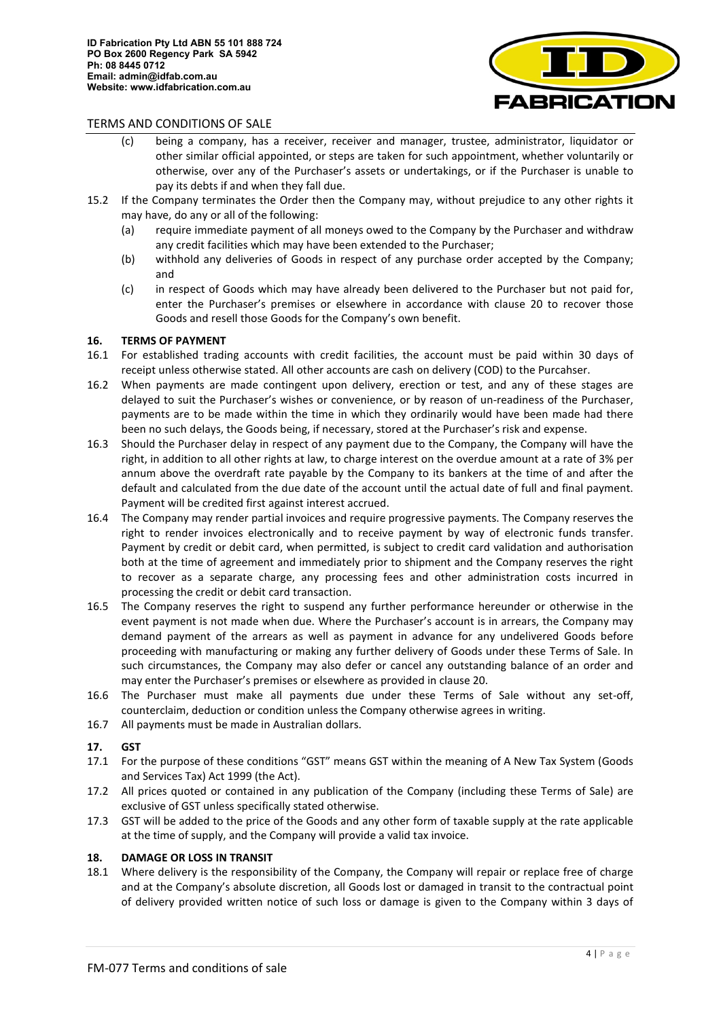

- (c) being a company, has a receiver, receiver and manager, trustee, administrator, liquidator or other similar official appointed, or steps are taken for such appointment, whether voluntarily or otherwise, over any of the Purchaser's assets or undertakings, or if the Purchaser is unable to pay its debts if and when they fall due.
- 15.2 If the Company terminates the Order then the Company may, without prejudice to any other rights it may have, do any or all of the following:
	- (a) require immediate payment of all moneys owed to the Company by the Purchaser and withdraw any credit facilities which may have been extended to the Purchaser;
	- (b) withhold any deliveries of Goods in respect of any purchase order accepted by the Company; and
	- (c) in respect of Goods which may have already been delivered to the Purchaser but not paid for, enter the Purchaser's premises or elsewhere in accordance with clause [20](#page-4-0) to recover those Goods and resell those Goods for the Company's own benefit.

## <span id="page-3-0"></span>**16. TERMS OF PAYMENT**

- 16.1 For established trading accounts with credit facilities, the account must be paid within 30 days of receipt unless otherwise stated. All other accounts are cash on delivery (COD) to the Purcahser.
- 16.2 When payments are made contingent upon delivery, erection or test, and any of these stages are delayed to suit the Purchaser's wishes or convenience, or by reason of un-readiness of the Purchaser, payments are to be made within the time in which they ordinarily would have been made had there been no such delays, the Goods being, if necessary, stored at the Purchaser's risk and expense.
- 16.3 Should the Purchaser delay in respect of any payment due to the Company, the Company will have the right, in addition to all other rights at law, to charge interest on the overdue amount at a rate of 3% per annum above the overdraft rate payable by the Company to its bankers at the time of and after the default and calculated from the due date of the account until the actual date of full and final payment. Payment will be credited first against interest accrued.
- 16.4 The Company may render partial invoices and require progressive payments. The Company reserves the right to render invoices electronically and to receive payment by way of electronic funds transfer. Payment by credit or debit card, when permitted, is subject to credit card validation and authorisation both at the time of agreement and immediately prior to shipment and the Company reserves the right to recover as a separate charge, any processing fees and other administration costs incurred in processing the credit or debit card transaction.
- 16.5 The Company reserves the right to suspend any further performance hereunder or otherwise in the event payment is not made when due. Where the Purchaser's account is in arrears, the Company may demand payment of the arrears as well as payment in advance for any undelivered Goods before proceeding with manufacturing or making any further delivery of Goods under these Terms of Sale. In such circumstances, the Company may also defer or cancel any outstanding balance of an order and may enter the Purchaser's premises or elsewhere as provided in claus[e 20.](#page-4-0)
- 16.6 The Purchaser must make all payments due under these Terms of Sale without any set-off, counterclaim, deduction or condition unless the Company otherwise agrees in writing.
- 16.7 All payments must be made in Australian dollars.

#### **17. GST**

- 17.1 For the purpose of these conditions "GST" means GST within the meaning of A New Tax System (Goods and Services Tax) Act 1999 (the Act).
- 17.2 All prices quoted or contained in any publication of the Company (including these Terms of Sale) are exclusive of GST unless specifically stated otherwise.
- 17.3 GST will be added to the price of the Goods and any other form of taxable supply at the rate applicable at the time of supply, and the Company will provide a valid tax invoice.

### **18. DAMAGE OR LOSS IN TRANSIT**

18.1 Where delivery is the responsibility of the Company, the Company will repair or replace free of charge and at the Company's absolute discretion, all Goods lost or damaged in transit to the contractual point of delivery provided written notice of such loss or damage is given to the Company within 3 days of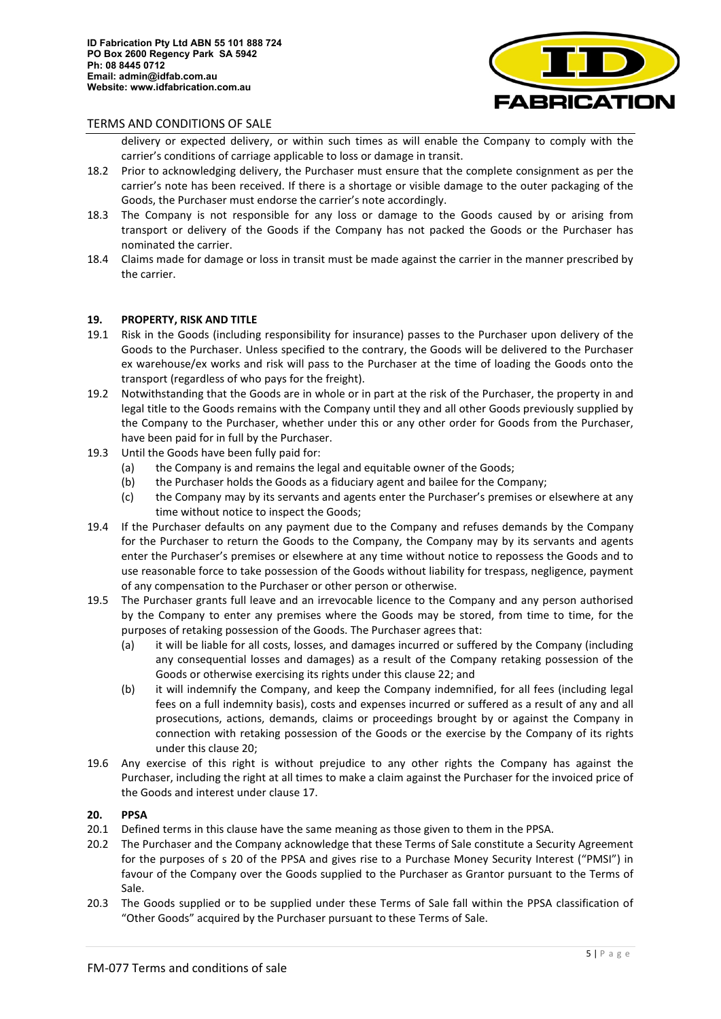

- delivery or expected delivery, or within such times as will enable the Company to comply with the carrier's conditions of carriage applicable to loss or damage in transit.
- 18.2 Prior to acknowledging delivery, the Purchaser must ensure that the complete consignment as per the carrier's note has been received. If there is a shortage or visible damage to the outer packaging of the Goods, the Purchaser must endorse the carrier's note accordingly.
- 18.3 The Company is not responsible for any loss or damage to the Goods caused by or arising from transport or delivery of the Goods if the Company has not packed the Goods or the Purchaser has nominated the carrier.
- 18.4 Claims made for damage or loss in transit must be made against the carrier in the manner prescribed by the carrier.

#### <span id="page-4-0"></span>**19. PROPERTY, RISK AND TITLE**

- 19.1 Risk in the Goods (including responsibility for insurance) passes to the Purchaser upon delivery of the Goods to the Purchaser. Unless specified to the contrary, the Goods will be delivered to the Purchaser ex warehouse/ex works and risk will pass to the Purchaser at the time of loading the Goods onto the transport (regardless of who pays for the freight).
- 19.2 Notwithstanding that the Goods are in whole or in part at the risk of the Purchaser, the property in and legal title to the Goods remains with the Company until they and all other Goods previously supplied by the Company to the Purchaser, whether under this or any other order for Goods from the Purchaser, have been paid for in full by the Purchaser.
- 19.3 Until the Goods have been fully paid for:
	- (a) the Company is and remains the legal and equitable owner of the Goods;
	- (b) the Purchaser holds the Goods as a fiduciary agent and bailee for the Company;
	- (c) the Company may by its servants and agents enter the Purchaser's premises or elsewhere at any time without notice to inspect the Goods;
- 19.4 If the Purchaser defaults on any payment due to the Company and refuses demands by the Company for the Purchaser to return the Goods to the Company, the Company may by its servants and agents enter the Purchaser's premises or elsewhere at any time without notice to repossess the Goods and to use reasonable force to take possession of the Goods without liability for trespass, negligence, payment of any compensation to the Purchaser or other person or otherwise.
- 19.5 The Purchaser grants full leave and an irrevocable licence to the Company and any person authorised by the Company to enter any premises where the Goods may be stored, from time to time, for the purposes of retaking possession of the Goods. The Purchaser agrees that:
	- (a) it will be liable for all costs, losses, and damages incurred or suffered by the Company (including any consequential losses and damages) as a result of the Company retaking possession of the Goods or otherwise exercising its rights under this clause 22; and
	- (b) it will indemnify the Company, and keep the Company indemnified, for all fees (including legal fees on a full indemnity basis), costs and expenses incurred or suffered as a result of any and all prosecutions, actions, demands, claims or proceedings brought by or against the Company in connection with retaking possession of the Goods or the exercise by the Company of its rights under this clause [20;](#page-4-0)
- 19.6 Any exercise of this right is without prejudice to any other rights the Company has against the Purchaser, including the right at all times to make a claim against the Purchaser for the invoiced price of the Goods and interest under clause [17.](#page-3-0)

### **20. PPSA**

- 20.1 Defined terms in this clause have the same meaning as those given to them in the PPSA.
- 20.2 The Purchaser and the Company acknowledge that these Terms of Sale constitute a Security Agreement for the purposes of s 20 of the PPSA and gives rise to a Purchase Money Security Interest ("PMSI") in favour of the Company over the Goods supplied to the Purchaser as Grantor pursuant to the Terms of Sale.
- 20.3 The Goods supplied or to be supplied under these Terms of Sale fall within the PPSA classification of "Other Goods" acquired by the Purchaser pursuant to these Terms of Sale.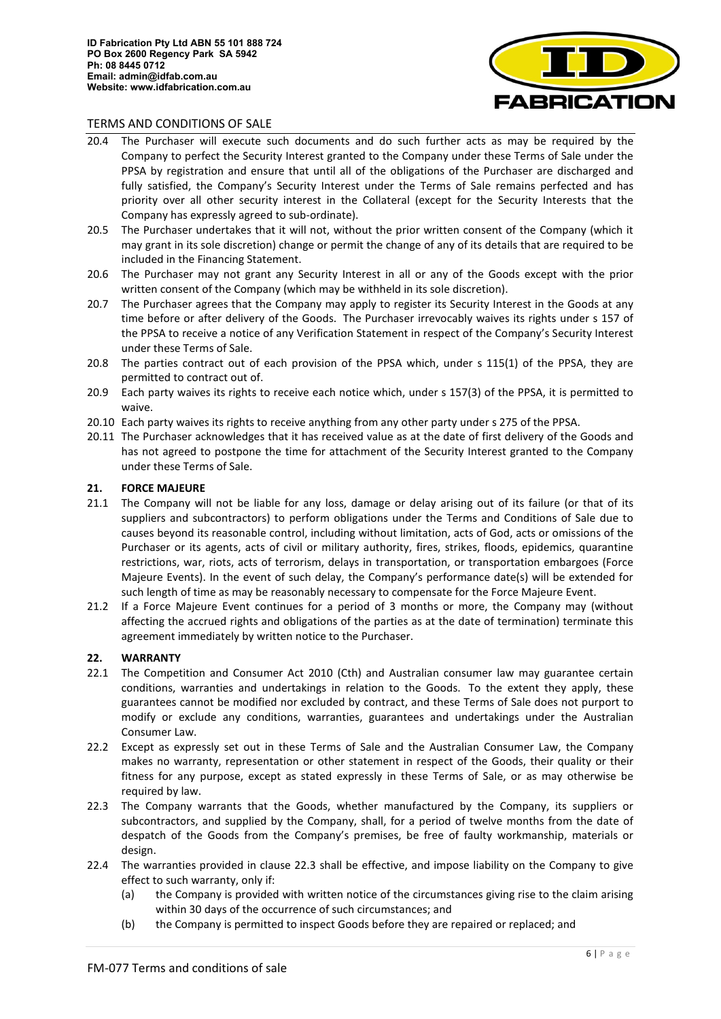

- 20.4 The Purchaser will execute such documents and do such further acts as may be required by the Company to perfect the Security Interest granted to the Company under these Terms of Sale under the PPSA by registration and ensure that until all of the obligations of the Purchaser are discharged and fully satisfied, the Company's Security Interest under the Terms of Sale remains perfected and has priority over all other security interest in the Collateral (except for the Security Interests that the Company has expressly agreed to sub-ordinate).
- 20.5 The Purchaser undertakes that it will not, without the prior written consent of the Company (which it may grant in its sole discretion) change or permit the change of any of its details that are required to be included in the Financing Statement.
- 20.6 The Purchaser may not grant any Security Interest in all or any of the Goods except with the prior written consent of the Company (which may be withheld in its sole discretion).
- 20.7 The Purchaser agrees that the Company may apply to register its Security Interest in the Goods at any time before or after delivery of the Goods. The Purchaser irrevocably waives its rights under s 157 of the PPSA to receive a notice of any Verification Statement in respect of the Company's Security Interest under these Terms of Sale.
- 20.8 The parties contract out of each provision of the PPSA which, under s 115(1) of the PPSA, they are permitted to contract out of.
- 20.9 Each party waives its rights to receive each notice which, under s 157(3) of the PPSA, it is permitted to waive.
- 20.10 Each party waives its rights to receive anything from any other party under s 275 of the PPSA.
- 20.11 The Purchaser acknowledges that it has received value as at the date of first delivery of the Goods and has not agreed to postpone the time for attachment of the Security Interest granted to the Company under these Terms of Sale.

### **21. FORCE MAJEURE**

- 21.1 The Company will not be liable for any loss, damage or delay arising out of its failure (or that of its suppliers and subcontractors) to perform obligations under the Terms and Conditions of Sale due to causes beyond its reasonable control, including without limitation, acts of God, acts or omissions of the Purchaser or its agents, acts of civil or military authority, fires, strikes, floods, epidemics, quarantine restrictions, war, riots, acts of terrorism, delays in transportation, or transportation embargoes (Force Majeure Events). In the event of such delay, the Company's performance date(s) will be extended for such length of time as may be reasonably necessary to compensate for the Force Majeure Event.
- 21.2 If a Force Majeure Event continues for a period of 3 months or more, the Company may (without affecting the accrued rights and obligations of the parties as at the date of termination) terminate this agreement immediately by written notice to the Purchaser.

## **22. WARRANTY**

- 22.1 The Competition and Consumer Act 2010 (Cth) and Australian consumer law may guarantee certain conditions, warranties and undertakings in relation to the Goods. To the extent they apply, these guarantees cannot be modified nor excluded by contract, and these Terms of Sale does not purport to modify or exclude any conditions, warranties, guarantees and undertakings under the Australian Consumer Law.
- 22.2 Except as expressly set out in these Terms of Sale and the Australian Consumer Law, the Company makes no warranty, representation or other statement in respect of the Goods, their quality or their fitness for any purpose, except as stated expressly in these Terms of Sale, or as may otherwise be required by law.
- 22.3 The Company warrants that the Goods, whether manufactured by the Company, its suppliers or subcontractors, and supplied by the Company, shall, for a period of twelve months from the date of despatch of the Goods from the Company's premises, be free of faulty workmanship, materials or design.
- 22.4 The warranties provided in clause 22.3 shall be effective, and impose liability on the Company to give effect to such warranty, only if:
	- (a) the Company is provided with written notice of the circumstances giving rise to the claim arising within 30 days of the occurrence of such circumstances; and
	- (b) the Company is permitted to inspect Goods before they are repaired or replaced; and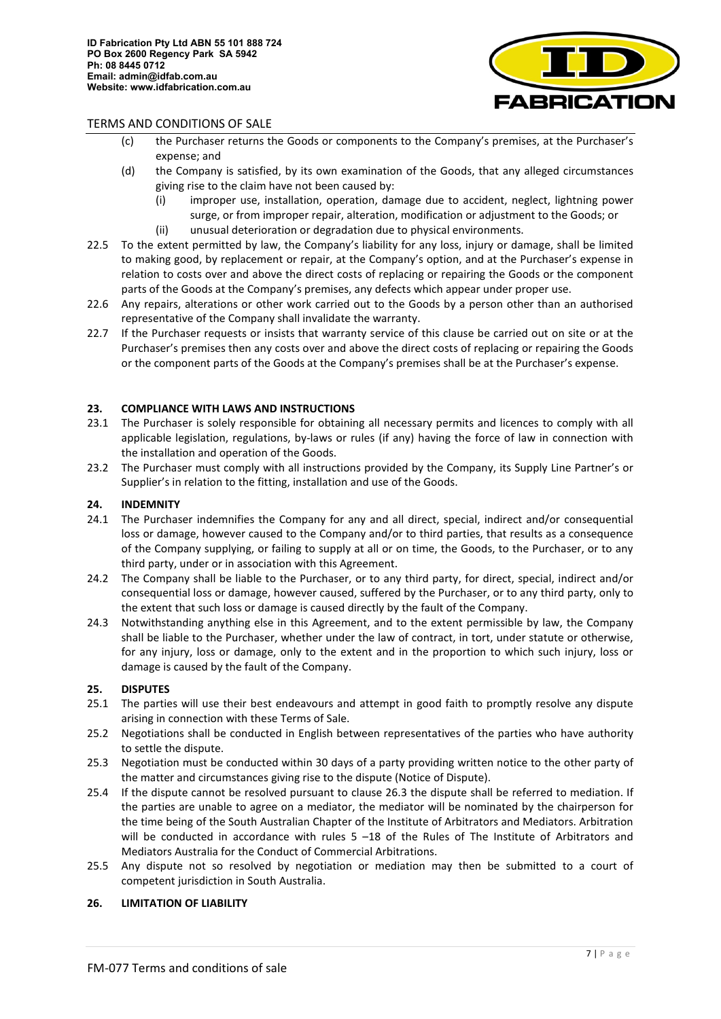

- (c) the Purchaser returns the Goods or components to the Company's premises, at the Purchaser's expense; and
- (d) the Company is satisfied, by its own examination of the Goods, that any alleged circumstances giving rise to the claim have not been caused by:
	- (i) improper use, installation, operation, damage due to accident, neglect, lightning power surge, or from improper repair, alteration, modification or adjustment to the Goods; or (ii) unusual deterioration or degradation due to physical environments.
- 22.5 To the extent permitted by law, the Company's liability for any loss, injury or damage, shall be limited to making good, by replacement or repair, at the Company's option, and at the Purchaser's expense in relation to costs over and above the direct costs of replacing or repairing the Goods or the component parts of the Goods at the Company's premises, any defects which appear under proper use.
- 22.6 Any repairs, alterations or other work carried out to the Goods by a person other than an authorised representative of the Company shall invalidate the warranty.
- 22.7 If the Purchaser requests or insists that warranty service of this clause be carried out on site or at the Purchaser's premises then any costs over and above the direct costs of replacing or repairing the Goods or the component parts of the Goods at the Company's premises shall be at the Purchaser's expense.

## **23. COMPLIANCE WITH LAWS AND INSTRUCTIONS**

- 23.1 The Purchaser is solely responsible for obtaining all necessary permits and licences to comply with all applicable legislation, regulations, by-laws or rules (if any) having the force of law in connection with the installation and operation of the Goods.
- 23.2 The Purchaser must comply with all instructions provided by the Company, its Supply Line Partner's or Supplier's in relation to the fitting, installation and use of the Goods.

## **24. INDEMNITY**

- 24.1 The Purchaser indemnifies the Company for any and all direct, special, indirect and/or consequential loss or damage, however caused to the Company and/or to third parties, that results as a consequence of the Company supplying, or failing to supply at all or on time, the Goods, to the Purchaser, or to any third party, under or in association with this Agreement.
- 24.2 The Company shall be liable to the Purchaser, or to any third party, for direct, special, indirect and/or consequential loss or damage, however caused, suffered by the Purchaser, or to any third party, only to the extent that such loss or damage is caused directly by the fault of the Company.
- 24.3 Notwithstanding anything else in this Agreement, and to the extent permissible by law, the Company shall be liable to the Purchaser, whether under the law of contract, in tort, under statute or otherwise, for any injury, loss or damage, only to the extent and in the proportion to which such injury, loss or damage is caused by the fault of the Company.

#### **25. DISPUTES**

- 25.1 The parties will use their best endeavours and attempt in good faith to promptly resolve any dispute arising in connection with these Terms of Sale.
- 25.2 Negotiations shall be conducted in English between representatives of the parties who have authority to settle the dispute.
- <span id="page-6-0"></span>25.3 Negotiation must be conducted within 30 days of a party providing written notice to the other party of the matter and circumstances giving rise to the dispute (Notice of Dispute).
- 25.4 If the dispute cannot be resolved pursuant to clause [26.3](#page-6-0) the dispute shall be referred to mediation. If the parties are unable to agree on a mediator, the mediator will be nominated by the chairperson for the time being of the South Australian Chapter of the Institute of Arbitrators and Mediators. Arbitration will be conducted in accordance with rules 5 –18 of the Rules of The Institute of Arbitrators and Mediators Australia for the Conduct of Commercial Arbitrations.
- 25.5 Any dispute not so resolved by negotiation or mediation may then be submitted to a court of competent jurisdiction in South Australia.

## **26. LIMITATION OF LIABILITY**